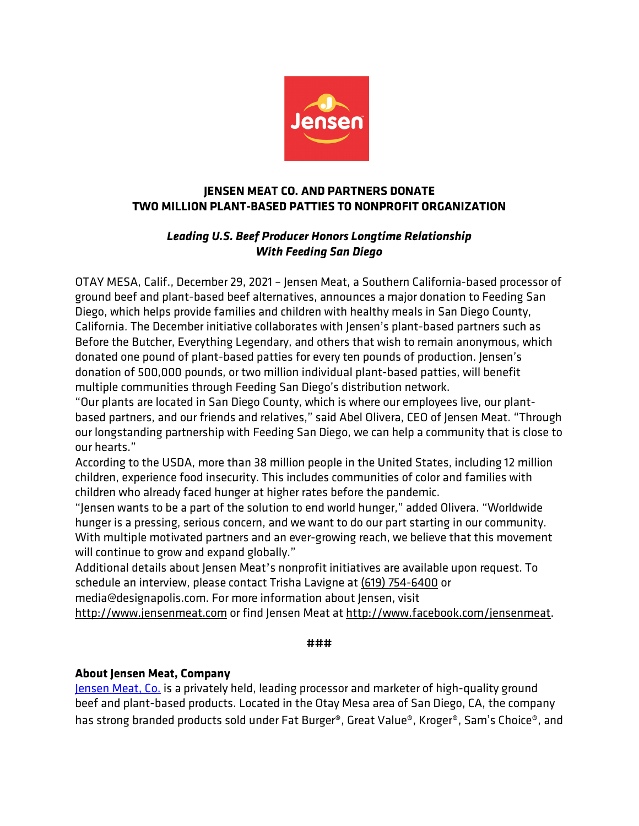

# **JENSEN MEAT CO. AND PARTNERS DONATE TWO MILLION PLANT-BASED PATTIES TO NONPROFIT ORGANIZATION**

# *Leading U.S. Beef Producer Honors Longtime Relationship With Feeding San Diego*

OTAY MESA, Calif., December 29, 2021 – Jensen Meat, a Southern California-based processor of ground beef and plant-based beef alternatives, announces a major donation to Feeding San Diego, which helps provide families and children with healthy meals in San Diego County, California. The December initiative collaborates with Jensen's plant-based partners such as Before the Butcher, Everything Legendary, and others that wish to remain anonymous, which donated one pound of plant-based patties for every ten pounds of production. Jensen's donation of 500,000 pounds, or two million individual plant-based patties, will benefit multiple communities through Feeding San Diego's distribution network.

"Our plants are located in San Diego County, which is where our employees live, our plantbased partners, and our friends and relatives," said Abel Olivera, CEO of Jensen Meat. "Through our longstanding partnership with Feeding San Diego, we can help a community that is close to our hearts."

According to the USDA, more than 38 million people in the United States, including 12 million children, experience food insecurity. This includes communities of color and families with children who already faced hunger at higher rates before the pandemic.

"Jensen wants to be a part of the solution to end world hunger," added Olivera. "Worldwide hunger is a pressing, serious concern, and we want to do our part starting in our community. With multiple motivated partners and an ever-growing reach, we believe that this movement will continue to grow and expand globally."

Additional details about Jensen Meat's nonprofit initiatives are available upon request. To schedule an interview, please contact Trisha Lavigne at (619) 754-6400 or

media@designapolis.com. For more information about Jensen, visit

http://www.jensenmeat.com or find Jensen Meat at http://www.facebook.com/jensenmeat.

### **###**

## **About Jensen Meat, Company**

Jensen Meat, Co. is a privately held, leading processor and marketer of high-quality ground beef and plant-based products. Located in the Otay Mesa area of San Diego, CA, the company has strong branded products sold under Fat Burger®, Great Value®, Kroger®, Sam's Choice®, and